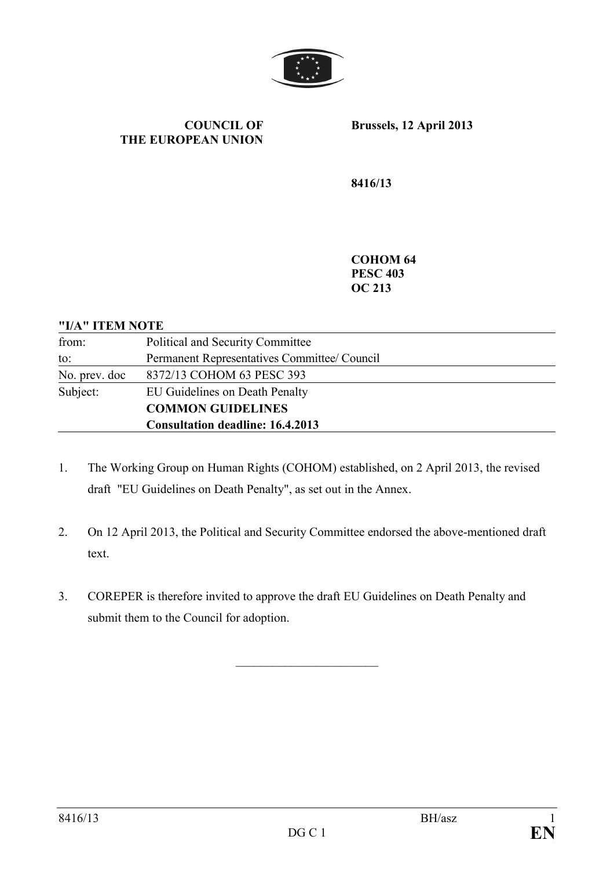

#### **COUNCIL OF THE EUROPEAN UNION**

**Brussels, 12 April 2013** 

**8416/13** 

**COHOM 64 PESC 403 OC 213** 

### **"I/A" ITEM NOTE**

| from:         | Political and Security Committee             |
|---------------|----------------------------------------------|
| to:           | Permanent Representatives Committee/ Council |
| No. prev. doc | 8372/13 COHOM 63 PESC 393                    |
| Subject:      | EU Guidelines on Death Penalty               |
|               | <b>COMMON GUIDELINES</b>                     |
|               | <b>Consultation deadline: 16.4.2013</b>      |

- 1. The Working Group on Human Rights (COHOM) established, on 2 April 2013, the revised draft "EU Guidelines on Death Penalty", as set out in the Annex.
- 2. On 12 April 2013, the Political and Security Committee endorsed the above-mentioned draft text.
- 3. COREPER is therefore invited to approve the draft EU Guidelines on Death Penalty and submit them to the Council for adoption.

 $\overline{\phantom{a}}$  , which is a set of the set of the set of the set of the set of the set of the set of the set of the set of the set of the set of the set of the set of the set of the set of the set of the set of the set of th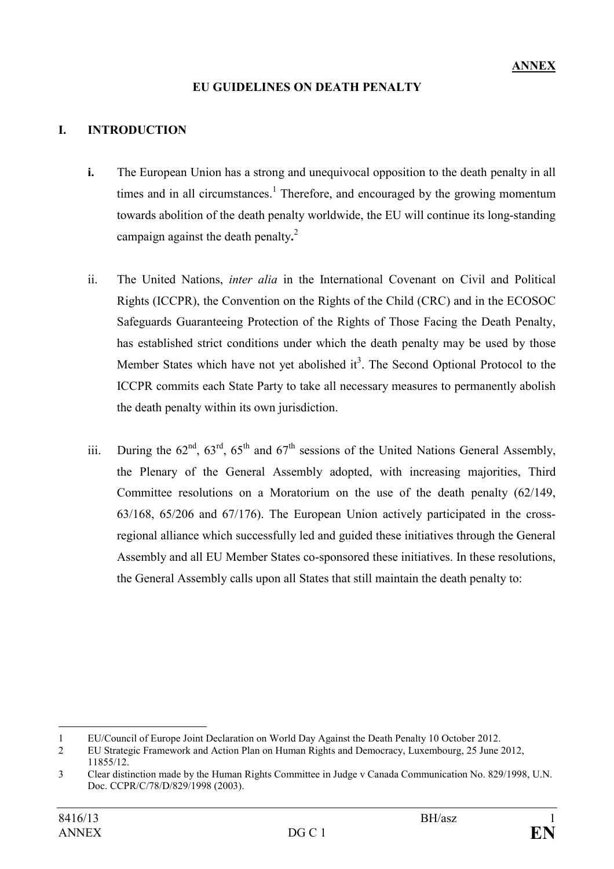# **EU GUIDELINES ON DEATH PENALTY**

# **I. INTRODUCTION**

- **i.** The European Union has a strong and unequivocal opposition to the death penalty in all times and in all circumstances.<sup>1</sup> Therefore, and encouraged by the growing momentum towards abolition of the death penalty worldwide, the EU will continue its long-standing campaign against the death penalty**.** 2
- ii. The United Nations, *inter alia* in the International Covenant on Civil and Political Rights (ICCPR), the Convention on the Rights of the Child (CRC) and in the ECOSOC Safeguards Guaranteeing Protection of the Rights of Those Facing the Death Penalty, has established strict conditions under which the death penalty may be used by those Member States which have not yet abolished it<sup>3</sup>. The Second Optional Protocol to the ICCPR commits each State Party to take all necessary measures to permanently abolish the death penalty within its own jurisdiction.
- iii. During the  $62^{\text{nd}}$ ,  $63^{\text{rd}}$ ,  $65^{\text{th}}$  and  $67^{\text{th}}$  sessions of the United Nations General Assembly, the Plenary of the General Assembly adopted, with increasing majorities, Third Committee resolutions on a Moratorium on the use of the death penalty (62/149, 63/168, 65/206 and 67/176). The European Union actively participated in the crossregional alliance which successfully led and guided these initiatives through the General Assembly and all EU Member States co-sponsored these initiatives. In these resolutions, the General Assembly calls upon all States that still maintain the death penalty to:

 $\overline{a}$ 

<sup>1</sup> EU/Council of Europe Joint Declaration on World Day Against the Death Penalty 10 October 2012.

<sup>2</sup> EU Strategic Framework and Action Plan on Human Rights and Democracy, Luxembourg, 25 June 2012, 11855/12.

<sup>3</sup> Clear distinction made by the Human Rights Committee in Judge v Canada Communication No. 829/1998, U.N. Doc. CCPR/C/78/D/829/1998 (2003).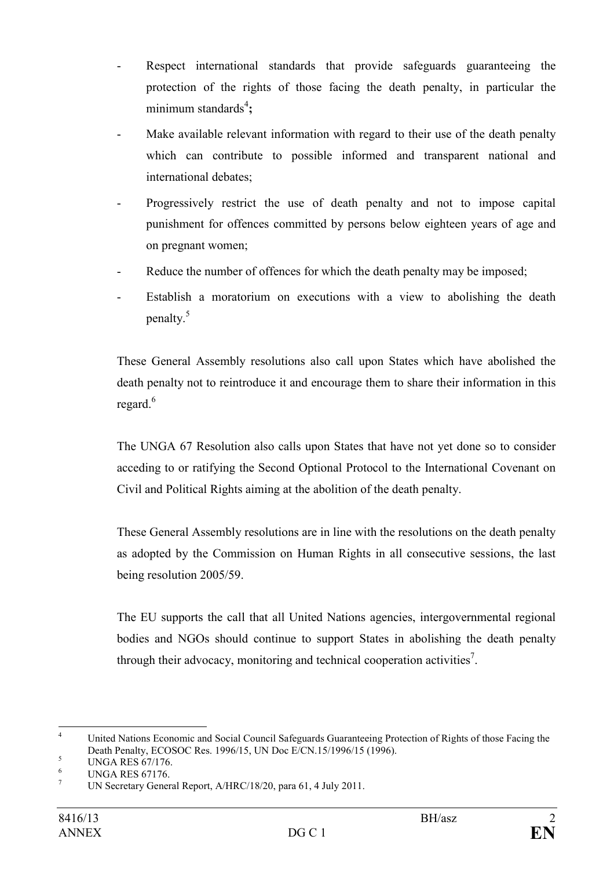- Respect international standards that provide safeguards guaranteeing the protection of the rights of those facing the death penalty, in particular the minimum standards<sup>4</sup>;
- Make available relevant information with regard to their use of the death penalty which can contribute to possible informed and transparent national and international debates;
- Progressively restrict the use of death penalty and not to impose capital punishment for offences committed by persons below eighteen years of age and on pregnant women;
- Reduce the number of offences for which the death penalty may be imposed;
- Establish a moratorium on executions with a view to abolishing the death penalty.<sup>5</sup>

These General Assembly resolutions also call upon States which have abolished the death penalty not to reintroduce it and encourage them to share their information in this regard. $6$ 

The UNGA 67 Resolution also calls upon States that have not yet done so to consider acceding to or ratifying the Second Optional Protocol to the International Covenant on Civil and Political Rights aiming at the abolition of the death penalty.

These General Assembly resolutions are in line with the resolutions on the death penalty as adopted by the Commission on Human Rights in all consecutive sessions, the last being resolution 2005/59.

The EU supports the call that all United Nations agencies, intergovernmental regional bodies and NGOs should continue to support States in abolishing the death penalty through their advocacy, monitoring and technical cooperation activities<sup>7</sup>.

 $\frac{1}{4}$  United Nations Economic and Social Council Safeguards Guaranteeing Protection of Rights of those Facing the Death Penalty, ECOSOC Res. 1996/15, UN Doc E/CN.15/1996/15 (1996).

<sup>5</sup> UNGA RES 67/176.

<sup>6</sup> UNGA RES 67176.

<sup>7</sup> UN Secretary General Report, A/HRC/18/20, para 61, 4 July 2011.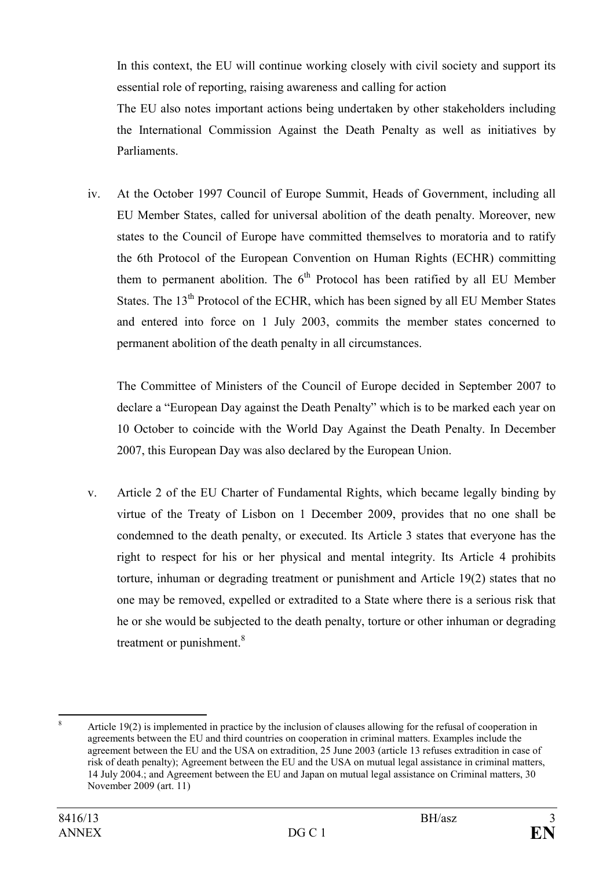In this context, the EU will continue working closely with civil society and support its essential role of reporting, raising awareness and calling for action

The EU also notes important actions being undertaken by other stakeholders including the International Commission Against the Death Penalty as well as initiatives by Parliaments.

iv. At the October 1997 Council of Europe Summit, Heads of Government, including all EU Member States, called for universal abolition of the death penalty. Moreover, new states to the Council of Europe have committed themselves to moratoria and to ratify the 6th Protocol of the European Convention on Human Rights (ECHR) committing them to permanent abolition. The  $6<sup>th</sup>$  Protocol has been ratified by all EU Member States. The  $13<sup>th</sup>$  Protocol of the ECHR, which has been signed by all EU Member States and entered into force on 1 July 2003, commits the member states concerned to permanent abolition of the death penalty in all circumstances.

The Committee of Ministers of the Council of Europe decided in September 2007 to declare a "European Day against the Death Penalty" which is to be marked each year on 10 October to coincide with the World Day Against the Death Penalty. In December 2007, this European Day was also declared by the European Union.

v. Article 2 of the EU Charter of Fundamental Rights, which became legally binding by virtue of the Treaty of Lisbon on 1 December 2009, provides that no one shall be condemned to the death penalty, or executed. Its Article 3 states that everyone has the right to respect for his or her physical and mental integrity. Its Article 4 prohibits torture, inhuman or degrading treatment or punishment and Article 19(2) states that no one may be removed, expelled or extradited to a State where there is a serious risk that he or she would be subjected to the death penalty, torture or other inhuman or degrading treatment or punishment.<sup>8</sup>

 8 Article 19(2) is implemented in practice by the inclusion of clauses allowing for the refusal of cooperation in agreements between the EU and third countries on cooperation in criminal matters. Examples include the agreement between the EU and the USA on extradition, 25 June 2003 (article 13 refuses extradition in case of risk of death penalty); Agreement between the EU and the USA on mutual legal assistance in criminal matters, 14 July 2004.; and Agreement between the EU and Japan on mutual legal assistance on Criminal matters, 30 November 2009 (art. 11)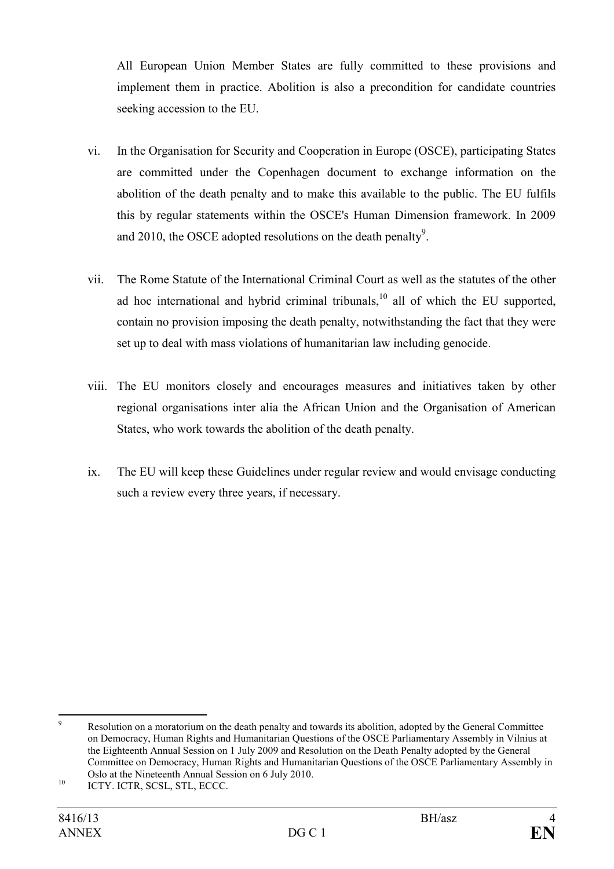All European Union Member States are fully committed to these provisions and implement them in practice. Abolition is also a precondition for candidate countries seeking accession to the EU.

- vi. In the Organisation for Security and Cooperation in Europe (OSCE), participating States are committed under the Copenhagen document to exchange information on the abolition of the death penalty and to make this available to the public. The EU fulfils this by regular statements within the OSCE's Human Dimension framework. In 2009 and 2010, the OSCE adopted resolutions on the death penalty<sup>9</sup>.
- vii. The Rome Statute of the International Criminal Court as well as the statutes of the other ad hoc international and hybrid criminal tribunals,  $10$  all of which the EU supported. contain no provision imposing the death penalty, notwithstanding the fact that they were set up to deal with mass violations of humanitarian law including genocide.
- viii. The EU monitors closely and encourages measures and initiatives taken by other regional organisations inter alia the African Union and the Organisation of American States, who work towards the abolition of the death penalty.
- ix. The EU will keep these Guidelines under regular review and would envisage conducting such a review every three years, if necessary.

<sup>-&</sup>lt;br>9 Resolution on a moratorium on the death penalty and towards its abolition, adopted by the General Committee on Democracy, Human Rights and Humanitarian Questions of the OSCE Parliamentary Assembly in Vilnius at the Eighteenth Annual Session on 1 July 2009 and Resolution on the Death Penalty adopted by the General Committee on Democracy, Human Rights and Humanitarian Questions of the OSCE Parliamentary Assembly in Oslo at the Nineteenth Annual Session on 6 July 2010.

<sup>&</sup>lt;sup>10</sup> ICTY. ICTR, SCSL, STL, ECCC.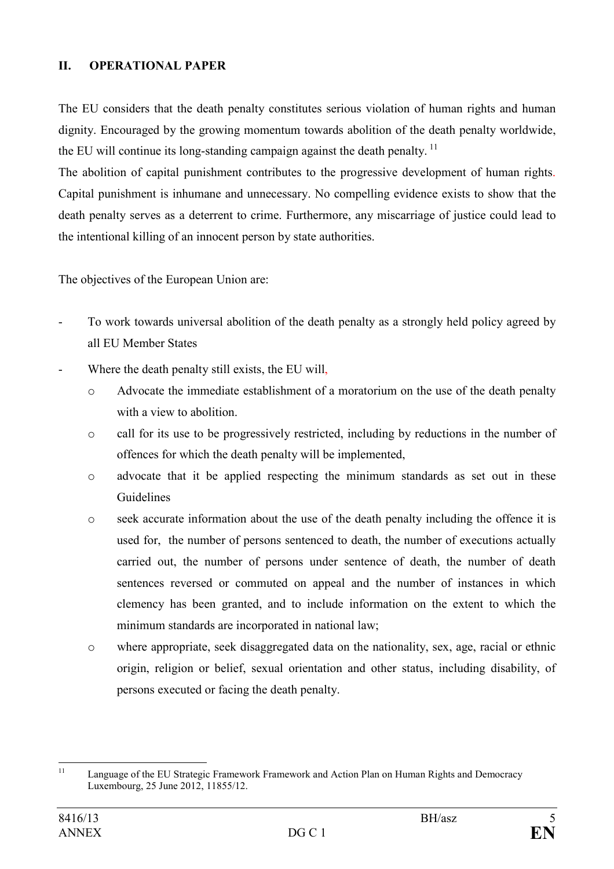## **II. OPERATIONAL PAPER**

The EU considers that the death penalty constitutes serious violation of human rights and human dignity. Encouraged by the growing momentum towards abolition of the death penalty worldwide, the EU will continue its long-standing campaign against the death penalty.<sup>11</sup>

The abolition of capital punishment contributes to the progressive development of human rights. Capital punishment is inhumane and unnecessary. No compelling evidence exists to show that the death penalty serves as a deterrent to crime. Furthermore, any miscarriage of justice could lead to the intentional killing of an innocent person by state authorities.

The objectives of the European Union are:

- To work towards universal abolition of the death penalty as a strongly held policy agreed by all EU Member States
- Where the death penalty still exists, the EU will,
	- o Advocate the immediate establishment of a moratorium on the use of the death penalty with a view to abolition.
	- o call for its use to be progressively restricted, including by reductions in the number of offences for which the death penalty will be implemented,
	- o advocate that it be applied respecting the minimum standards as set out in these Guidelines
	- o seek accurate information about the use of the death penalty including the offence it is used for, the number of persons sentenced to death, the number of executions actually carried out, the number of persons under sentence of death, the number of death sentences reversed or commuted on appeal and the number of instances in which clemency has been granted, and to include information on the extent to which the minimum standards are incorporated in national law;
	- o where appropriate, seek disaggregated data on the nationality, sex, age, racial or ethnic origin, religion or belief, sexual orientation and other status, including disability, of persons executed or facing the death penalty.

 $11$ Language of the EU Strategic Framework Framework and Action Plan on Human Rights and Democracy Luxembourg, 25 June 2012, 11855/12.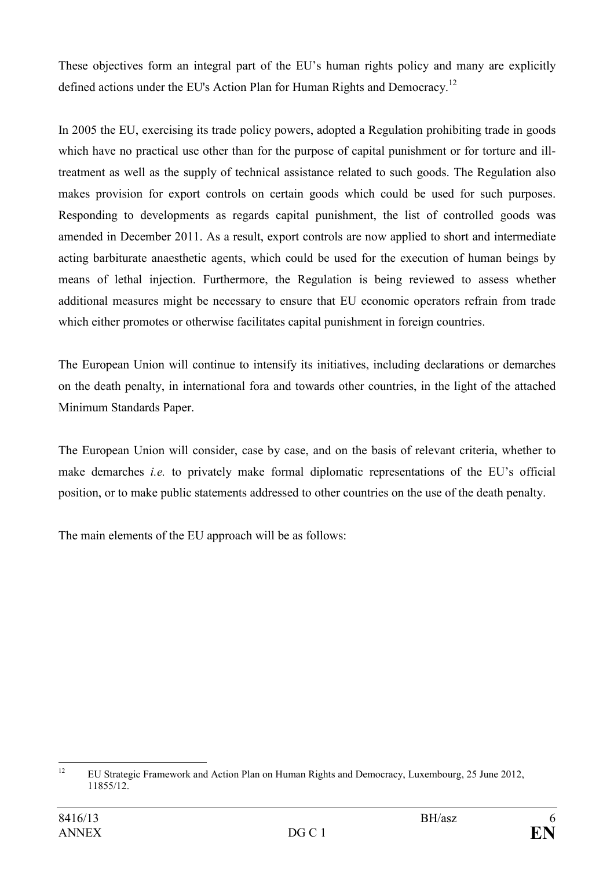These objectives form an integral part of the EU's human rights policy and many are explicitly defined actions under the EU's Action Plan for Human Rights and Democracy.<sup>12</sup>

In 2005 the EU, exercising its trade policy powers, adopted a Regulation prohibiting trade in goods which have no practical use other than for the purpose of capital punishment or for torture and illtreatment as well as the supply of technical assistance related to such goods. The Regulation also makes provision for export controls on certain goods which could be used for such purposes. Responding to developments as regards capital punishment, the list of controlled goods was amended in December 2011. As a result, export controls are now applied to short and intermediate acting barbiturate anaesthetic agents, which could be used for the execution of human beings by means of lethal injection. Furthermore, the Regulation is being reviewed to assess whether additional measures might be necessary to ensure that EU economic operators refrain from trade which either promotes or otherwise facilitates capital punishment in foreign countries.

The European Union will continue to intensify its initiatives, including declarations or demarches on the death penalty, in international fora and towards other countries, in the light of the attached Minimum Standards Paper.

The European Union will consider, case by case, and on the basis of relevant criteria, whether to make demarches *i.e.* to privately make formal diplomatic representations of the EU's official position, or to make public statements addressed to other countries on the use of the death penalty.

The main elements of the EU approach will be as follows:

 $12$ <sup>12</sup> EU Strategic Framework and Action Plan on Human Rights and Democracy, Luxembourg, 25 June 2012, 11855/12.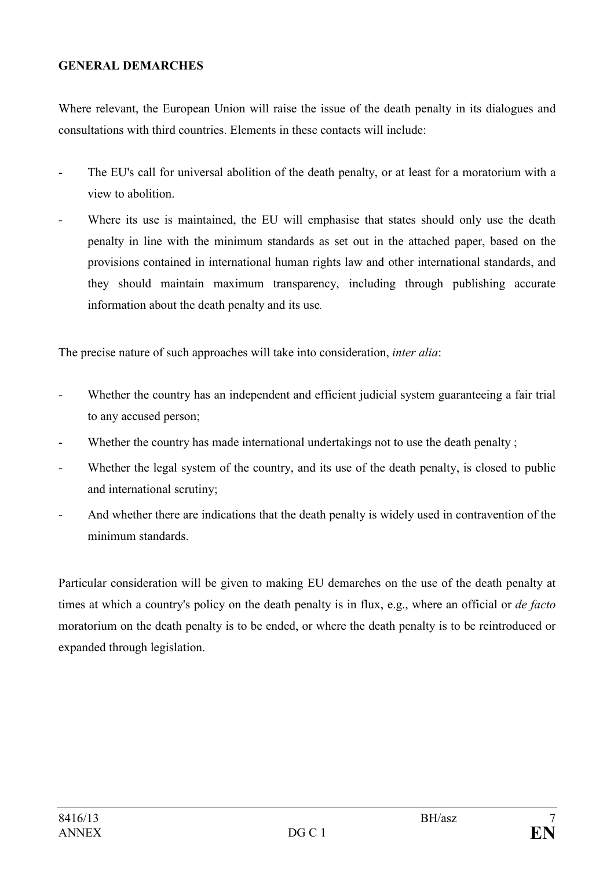### **GENERAL DEMARCHES**

Where relevant, the European Union will raise the issue of the death penalty in its dialogues and consultations with third countries. Elements in these contacts will include:

- The EU's call for universal abolition of the death penalty, or at least for a moratorium with a view to abolition.
- Where its use is maintained, the EU will emphasise that states should only use the death penalty in line with the minimum standards as set out in the attached paper, based on the provisions contained in international human rights law and other international standards, and they should maintain maximum transparency, including through publishing accurate information about the death penalty and its use.

The precise nature of such approaches will take into consideration, *inter alia*:

- Whether the country has an independent and efficient judicial system guaranteeing a fair trial to any accused person;
- Whether the country has made international undertakings not to use the death penalty;
- Whether the legal system of the country, and its use of the death penalty, is closed to public and international scrutiny;
- And whether there are indications that the death penalty is widely used in contravention of the minimum standards.

Particular consideration will be given to making EU demarches on the use of the death penalty at times at which a country's policy on the death penalty is in flux, e.g., where an official or *de facto*  moratorium on the death penalty is to be ended, or where the death penalty is to be reintroduced or expanded through legislation.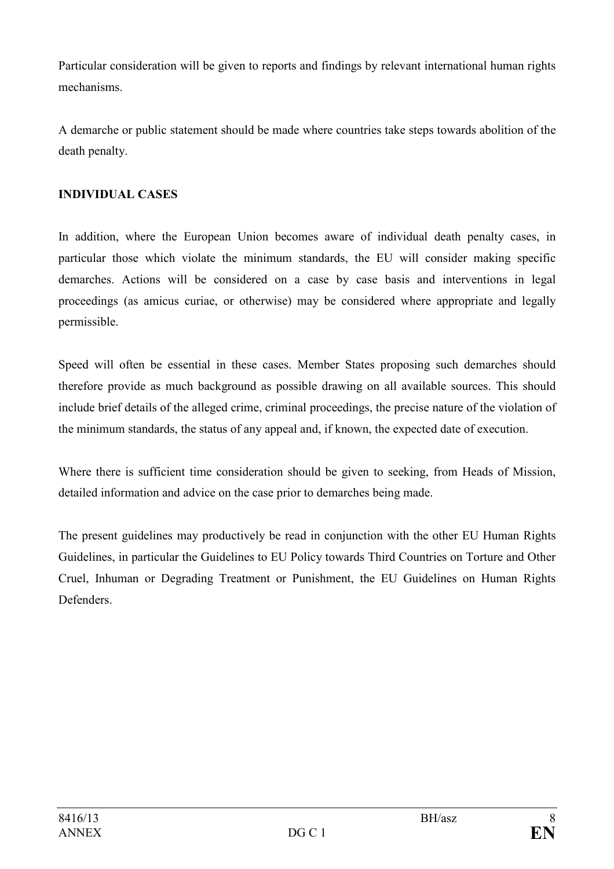Particular consideration will be given to reports and findings by relevant international human rights mechanisms.

A demarche or public statement should be made where countries take steps towards abolition of the death penalty.

# **IDIVIDUAL CASES**

In addition, where the European Union becomes aware of individual death penalty cases, in particular those which violate the minimum standards, the EU will consider making specific demarches. Actions will be considered on a case by case basis and interventions in legal proceedings (as amicus curiae, or otherwise) may be considered where appropriate and legally permissible.

Speed will often be essential in these cases. Member States proposing such demarches should therefore provide as much background as possible drawing on all available sources. This should include brief details of the alleged crime, criminal proceedings, the precise nature of the violation of the minimum standards, the status of any appeal and, if known, the expected date of execution.

Where there is sufficient time consideration should be given to seeking, from Heads of Mission, detailed information and advice on the case prior to demarches being made.

The present guidelines may productively be read in conjunction with the other EU Human Rights Guidelines, in particular the Guidelines to EU Policy towards Third Countries on Torture and Other Cruel, Inhuman or Degrading Treatment or Punishment, the EU Guidelines on Human Rights **Defenders**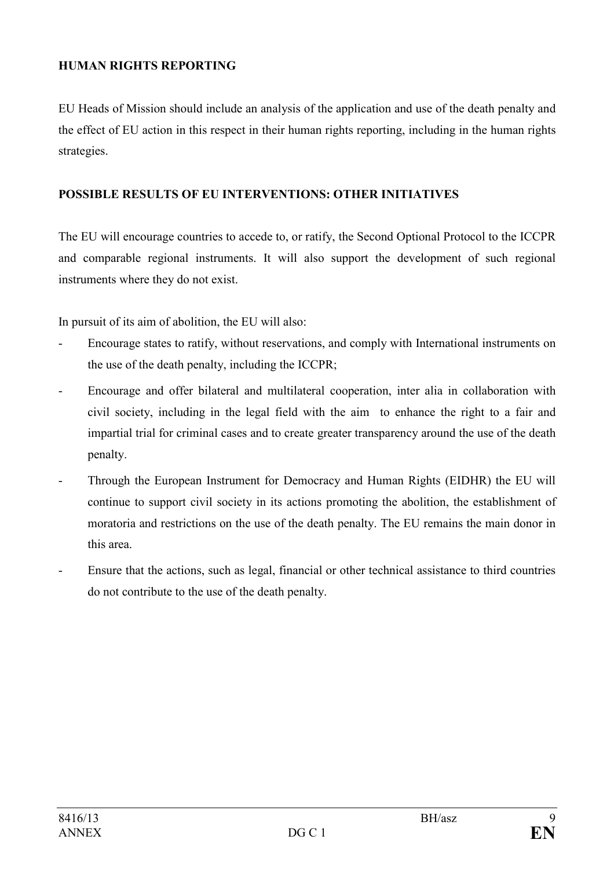# **HUMAN RIGHTS REPORTING**

EU Heads of Mission should include an analysis of the application and use of the death penalty and the effect of EU action in this respect in their human rights reporting, including in the human rights strategies.

### **POSSIBLE RESULTS OF EU INTERVENTIONS: OTHER INITIATIVES**

The EU will encourage countries to accede to, or ratify, the Second Optional Protocol to the ICCPR and comparable regional instruments. It will also support the development of such regional instruments where they do not exist.

In pursuit of its aim of abolition, the EU will also:

- Encourage states to ratify, without reservations, and comply with International instruments on the use of the death penalty, including the ICCPR;
- Encourage and offer bilateral and multilateral cooperation, inter alia in collaboration with civil society, including in the legal field with the aim to enhance the right to a fair and impartial trial for criminal cases and to create greater transparency around the use of the death penalty.
- Through the European Instrument for Democracy and Human Rights (EIDHR) the EU will continue to support civil society in its actions promoting the abolition, the establishment of moratoria and restrictions on the use of the death penalty. The EU remains the main donor in this area.
- Ensure that the actions, such as legal, financial or other technical assistance to third countries do not contribute to the use of the death penalty.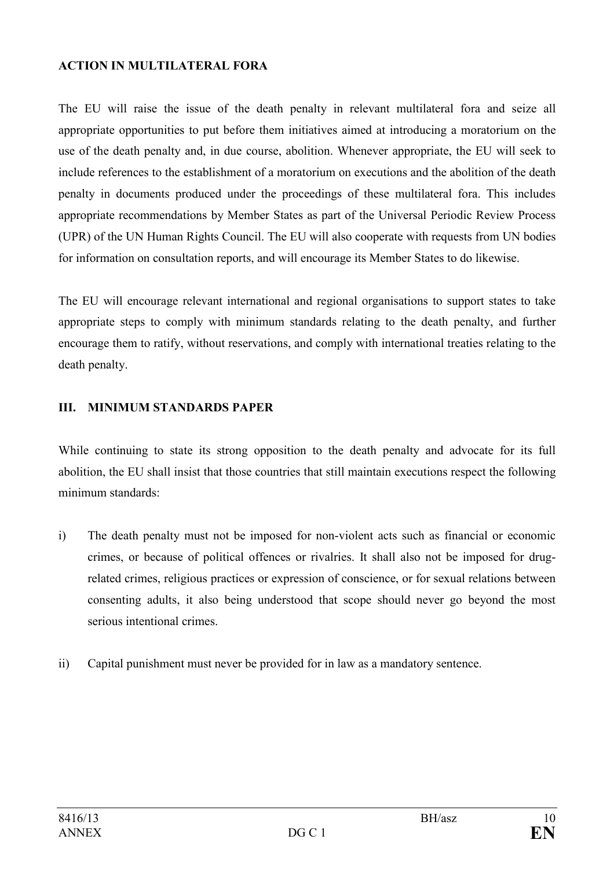### **ACTION IN MULTILATERAL FORA**

The EU will raise the issue of the death penalty in relevant multilateral fora and seize all appropriate opportunities to put before them initiatives aimed at introducing a moratorium on the use of the death penalty and, in due course, abolition. Whenever appropriate, the EU will seek to include references to the establishment of a moratorium on executions and the abolition of the death penalty in documents produced under the proceedings of these multilateral fora. This includes appropriate recommendations by Member States as part of the Universal Periodic Review Process (UPR) of the UN Human Rights Council. The EU will also cooperate with requests from UN bodies for information on consultation reports, and will encourage its Member States to do likewise.

The EU will encourage relevant international and regional organisations to support states to take appropriate steps to comply with minimum standards relating to the death penalty, and further encourage them to ratify, without reservations, and comply with international treaties relating to the death penalty.

# **III. MINIMUM STANDARDS PAPER**

While continuing to state its strong opposition to the death penalty and advocate for its full abolition, the EU shall insist that those countries that still maintain executions respect the following minimum standards:

- i) The death penalty must not be imposed for non-violent acts such as financial or economic crimes, or because of political offences or rivalries. It shall also not be imposed for drugrelated crimes, religious practices or expression of conscience, or for sexual relations between consenting adults, it also being understood that scope should never go beyond the most serious intentional crimes.
- ii) Capital punishment must never be provided for in law as a mandatory sentence.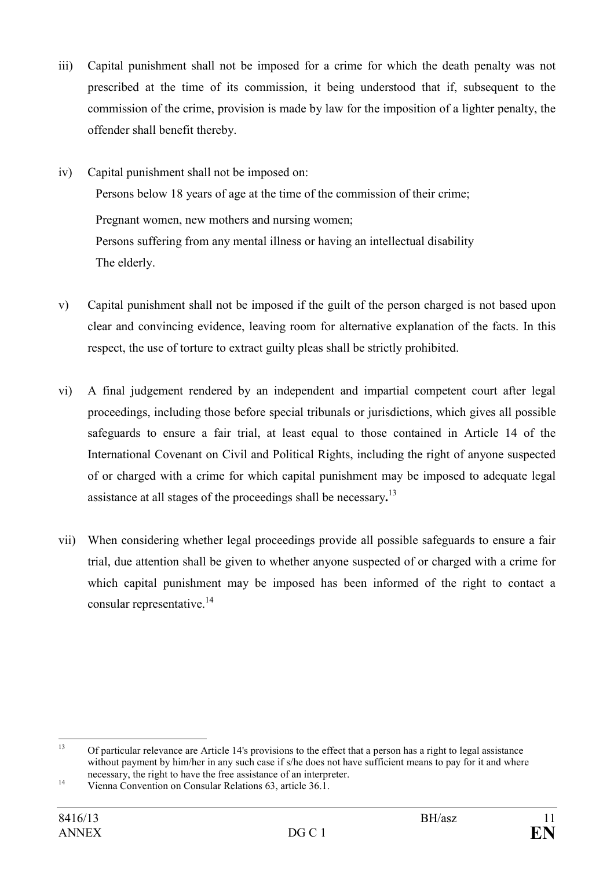- iii) Capital punishment shall not be imposed for a crime for which the death penalty was not prescribed at the time of its commission, it being understood that if, subsequent to the commission of the crime, provision is made by law for the imposition of a lighter penalty, the offender shall benefit thereby.
- iv) Capital punishment shall not be imposed on: Persons below 18 years of age at the time of the commission of their crime; Pregnant women, new mothers and nursing women; Persons suffering from any mental illness or having an intellectual disability The elderly.
- v) Capital punishment shall not be imposed if the guilt of the person charged is not based upon clear and convincing evidence, leaving room for alternative explanation of the facts. In this respect, the use of torture to extract guilty pleas shall be strictly prohibited.
- vi) A final judgement rendered by an independent and impartial competent court after legal proceedings, including those before special tribunals or jurisdictions, which gives all possible safeguards to ensure a fair trial, at least equal to those contained in Article 14 of the International Covenant on Civil and Political Rights, including the right of anyone suspected of or charged with a crime for which capital punishment may be imposed to adequate legal assistance at all stages of the proceedings shall be necessary**.** 13
- vii) When considering whether legal proceedings provide all possible safeguards to ensure a fair trial, due attention shall be given to whether anyone suspected of or charged with a crime for which capital punishment may be imposed has been informed of the right to contact a consular representative. $^{14}$

 $13$ <sup>13</sup> Of particular relevance are Article 14's provisions to the effect that a person has a right to legal assistance without payment by him/her in any such case if s/he does not have sufficient means to pay for it and where necessary, the right to have the free assistance of an interpreter.

<sup>&</sup>lt;sup>14</sup> Vienna Convention on Consular Relations 63, article 36.1.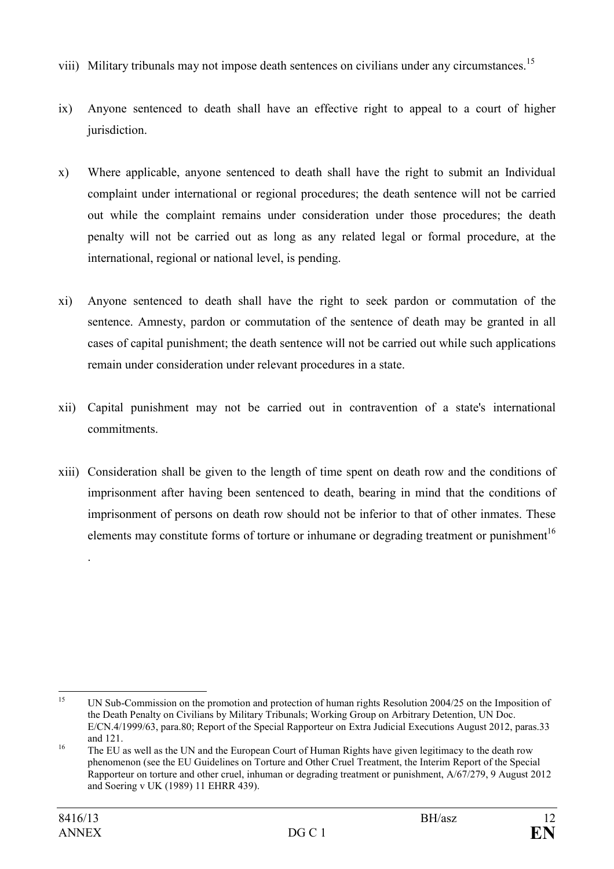- viii) Military tribunals may not impose death sentences on civilians under any circumstances.<sup>15</sup>
- ix) Anyone sentenced to death shall have an effective right to appeal to a court of higher jurisdiction.
- x) Where applicable, anyone sentenced to death shall have the right to submit an Individual complaint under international or regional procedures; the death sentence will not be carried out while the complaint remains under consideration under those procedures; the death penalty will not be carried out as long as any related legal or formal procedure, at the international, regional or national level, is pending.
- xi) Anyone sentenced to death shall have the right to seek pardon or commutation of the sentence. Amnesty, pardon or commutation of the sentence of death may be granted in all cases of capital punishment; the death sentence will not be carried out while such applications remain under consideration under relevant procedures in a state.
- xii) Capital punishment may not be carried out in contravention of a state's international commitments.
- xiii) Consideration shall be given to the length of time spent on death row and the conditions of imprisonment after having been sentenced to death, bearing in mind that the conditions of imprisonment of persons on death row should not be inferior to that of other inmates. These elements may constitute forms of torture or inhumane or degrading treatment or punishment<sup>16</sup>

.

 $15$ UN Sub-Commission on the promotion and protection of human rights Resolution 2004/25 on the Imposition of the Death Penalty on Civilians by Military Tribunals; Working Group on Arbitrary Detention, UN Doc. E/CN.4/1999/63, para.80; Report of the Special Rapporteur on Extra Judicial Executions August 2012, paras.33 and 121.

<sup>&</sup>lt;sup>16</sup> The EU as well as the UN and the European Court of Human Rights have given legitimacy to the death row phenomenon (see the EU Guidelines on Torture and Other Cruel Treatment, the Interim Report of the Special Rapporteur on torture and other cruel, inhuman or degrading treatment or punishment, A/67/279, 9 August 2012 and Soering v UK (1989) 11 EHRR 439).